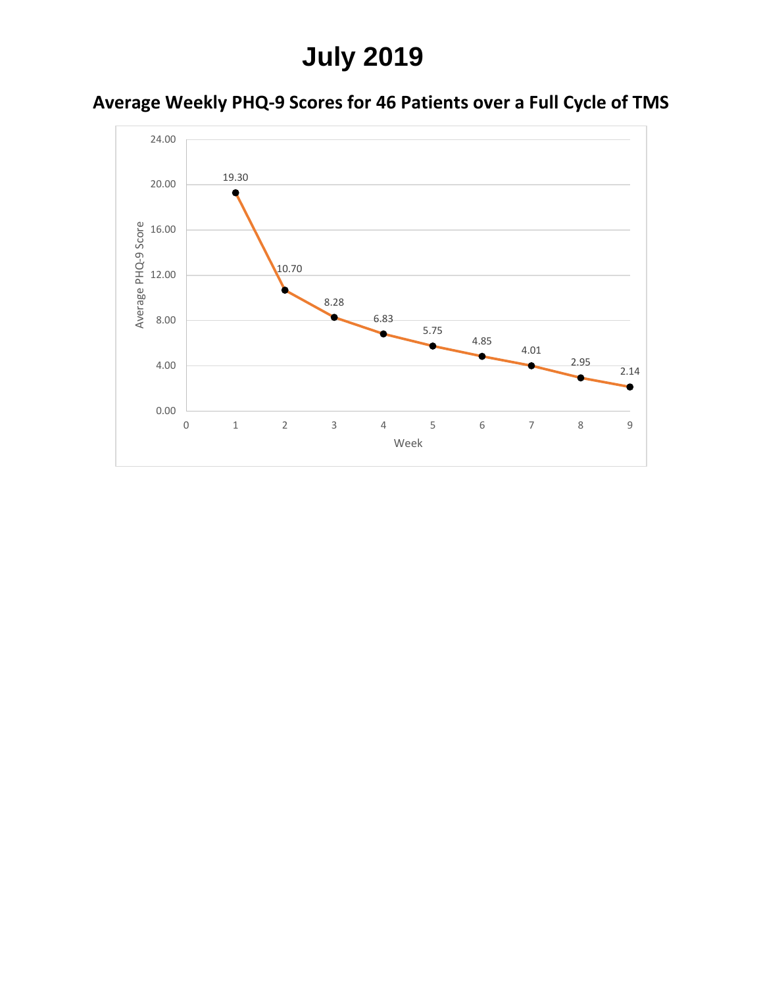# **July 2019**

### **Average Weekly PHQ-9 Scores for 46 Patients over a Full Cycle of TMS**

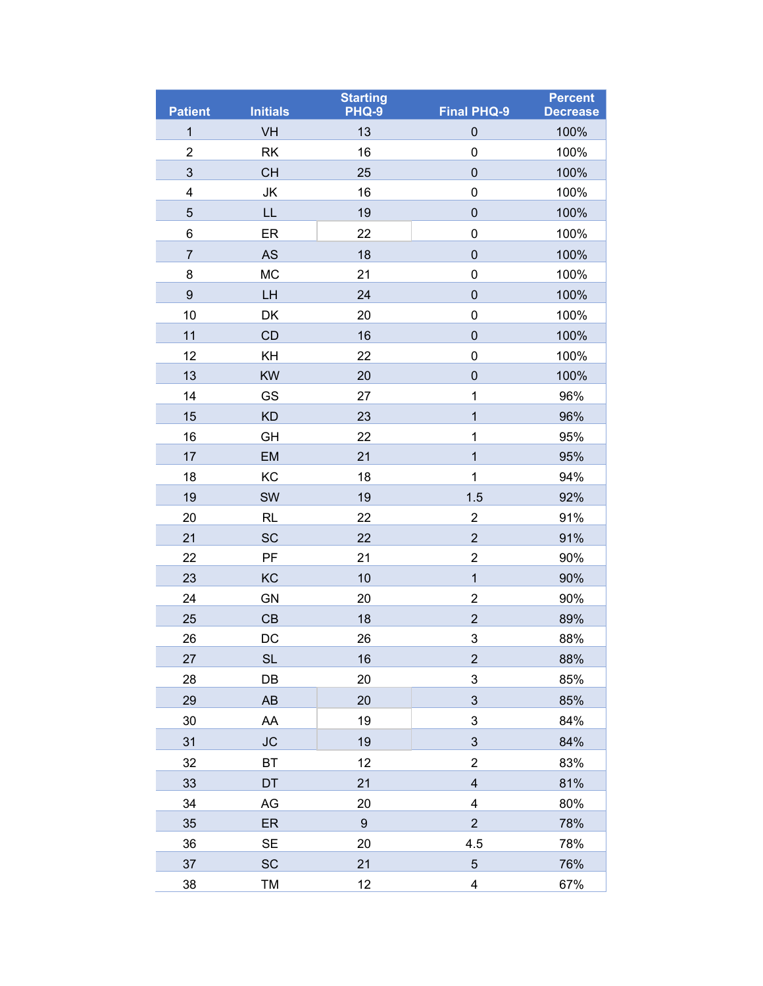| <b>Patient</b>   | <b>Initials</b> | <b>Starting</b><br>PHQ-9 | <b>Final PHQ-9</b>      | <b>Percent</b><br><b>Decrease</b> |
|------------------|-----------------|--------------------------|-------------------------|-----------------------------------|
| $\mathbf{1}$     | VH              | 13                       | $\mathsf{O}\xspace$     | 100%                              |
| $\boldsymbol{2}$ | <b>RK</b>       | 16                       | $\mathsf{O}\xspace$     | 100%                              |
| $\mathfrak{S}$   | <b>CH</b>       | 25                       | $\mathbf 0$             | 100%                              |
| 4                | JK              | 16                       | 0                       | 100%                              |
| 5                | LL              | 19                       | $\mathbf 0$             | 100%                              |
| 6                | ER              | 22                       | $\mathsf{O}\xspace$     | 100%                              |
| $\overline{7}$   | <b>AS</b>       | 18                       | $\mathbf 0$             | 100%                              |
| 8                | <b>MC</b>       | 21                       | 0                       | 100%                              |
| $\boldsymbol{9}$ | LH              | 24                       | $\mathsf{O}\xspace$     | 100%                              |
| 10               | DK              | 20                       | 0                       | 100%                              |
| 11               | CD              | 16                       | $\mathbf 0$             | 100%                              |
| 12               | KH              | 22                       | 0                       | 100%                              |
| 13               | <b>KW</b>       | 20                       | $\mathbf 0$             | 100%                              |
| 14               | GS              | 27                       | $\mathbf{1}$            | 96%                               |
| 15               | <b>KD</b>       | 23                       | $\overline{1}$          | 96%                               |
| 16               | GH              | 22                       | $\mathbf{1}$            | 95%                               |
| 17               | EM              | 21                       | $\mathbf{1}$            | 95%                               |
| 18               | KC              | 18                       | 1                       | 94%                               |
| 19               | SW              | 19                       | 1.5                     | 92%                               |
| 20               | <b>RL</b>       | 22                       | $\overline{c}$          | 91%                               |
| 21               | <b>SC</b>       | 22                       | $\overline{2}$          | 91%                               |
| 22               | PF              | 21                       | $\overline{c}$          | 90%                               |
| 23               | KC              | 10                       | $\overline{1}$          | 90%                               |
| 24               | GN              | 20                       | $\overline{2}$          | 90%                               |
| 25               | CB              | 18                       | $\overline{2}$          | 89%                               |
| 26               | DC              | 26                       | 3                       | 88%                               |
| 27               | <b>SL</b>       | 16                       | $\overline{2}$          | 88%                               |
| 28               | DB              | 20                       | 3                       | 85%                               |
| 29               | AB              | 20                       | 3                       | 85%                               |
| 30               | AA              | 19                       | 3                       | 84%                               |
| 31               | <b>JC</b>       | 19                       | $\sqrt{3}$              | 84%                               |
| 32               | <b>BT</b>       | 12                       | $\overline{2}$          | 83%                               |
| 33               | DT              | 21                       | 4                       | 81%                               |
| 34               | AG              | 20                       | 4                       | 80%                               |
| 35               | ER              | $\boldsymbol{9}$         | $\overline{2}$          | 78%                               |
| 36               | <b>SE</b>       | 20                       | 4.5                     | 78%                               |
| 37               | <b>SC</b>       | 21                       | 5                       | 76%                               |
| 38               | TM              | 12                       | $\overline{\mathbf{4}}$ | 67%                               |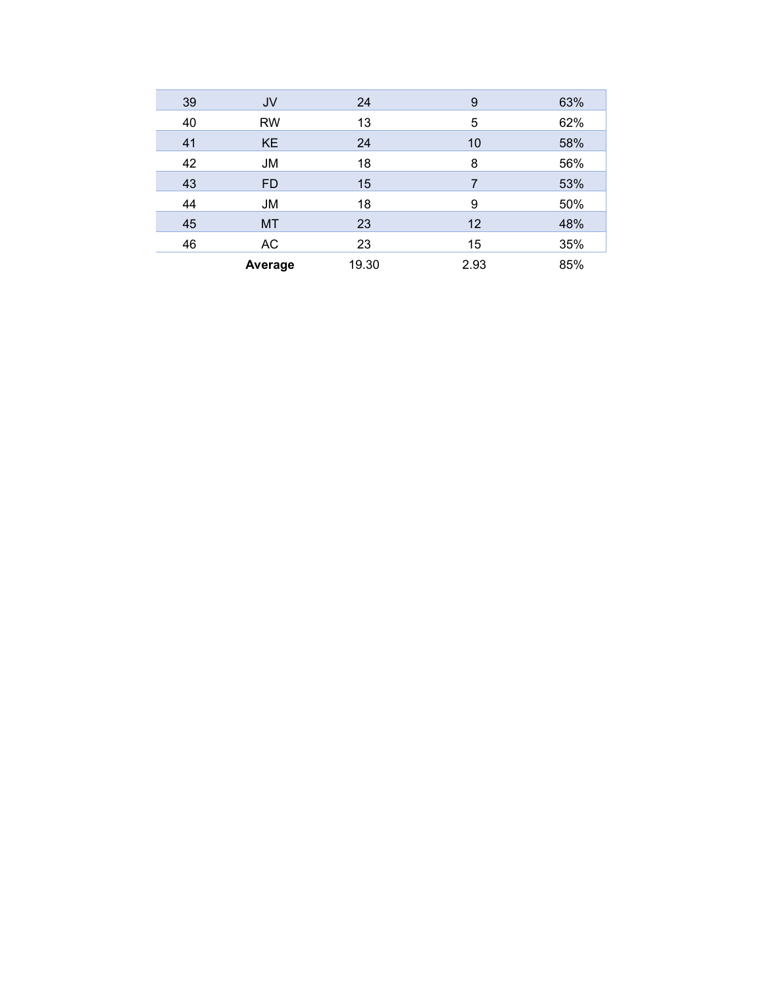| 39 | JV        | 24    | 9    | 63% |
|----|-----------|-------|------|-----|
| 40 | <b>RW</b> | 13    | 5    | 62% |
| 41 | <b>KE</b> | 24    | 10   | 58% |
| 42 | <b>JM</b> | 18    | 8    | 56% |
| 43 | <b>FD</b> | 15    | 7    | 53% |
| 44 | <b>JM</b> | 18    | 9    | 50% |
| 45 | <b>MT</b> | 23    | 12   | 48% |
| 46 | AC        | 23    | 15   | 35% |
|    | Average   | 19.30 | 2.93 | 85% |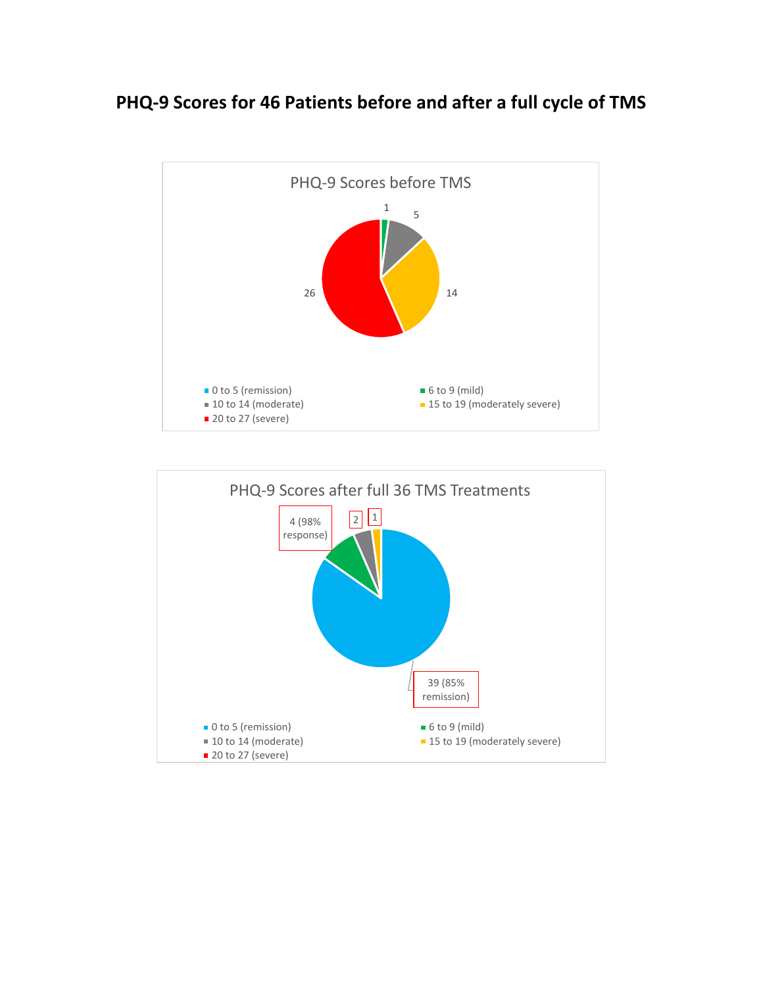#### **PHQ-9 Scores for 46 Patients before and after a full cycle of TMS**



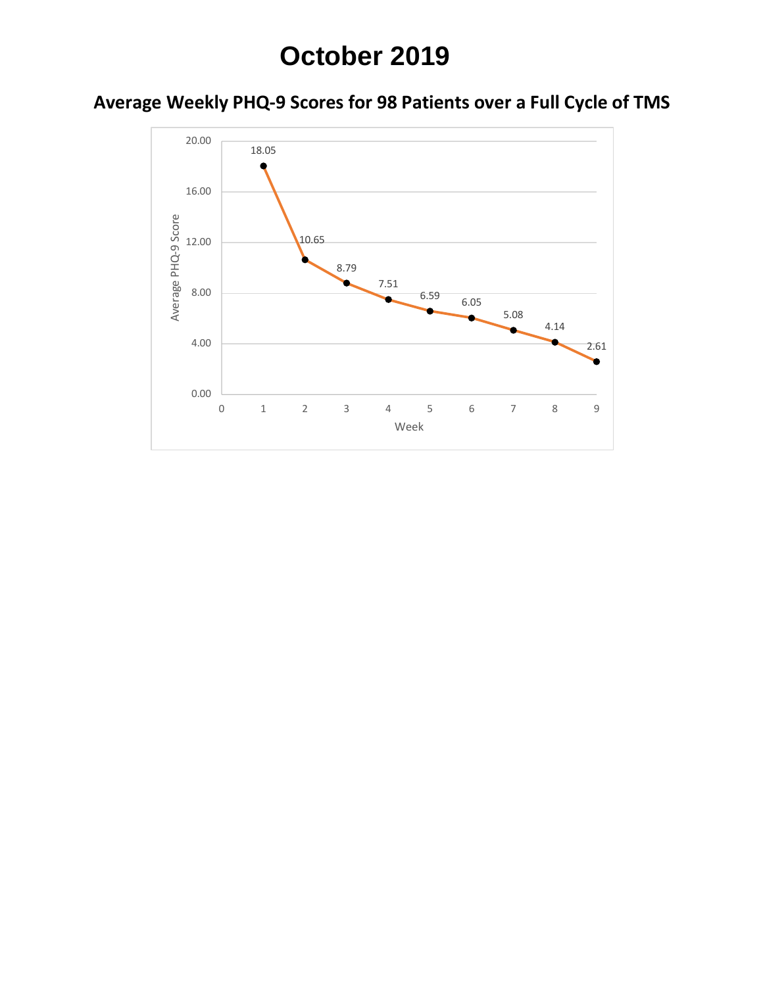## **October 2019**

### **Average Weekly PHQ-9 Scores for 98 Patients over a Full Cycle of TMS**

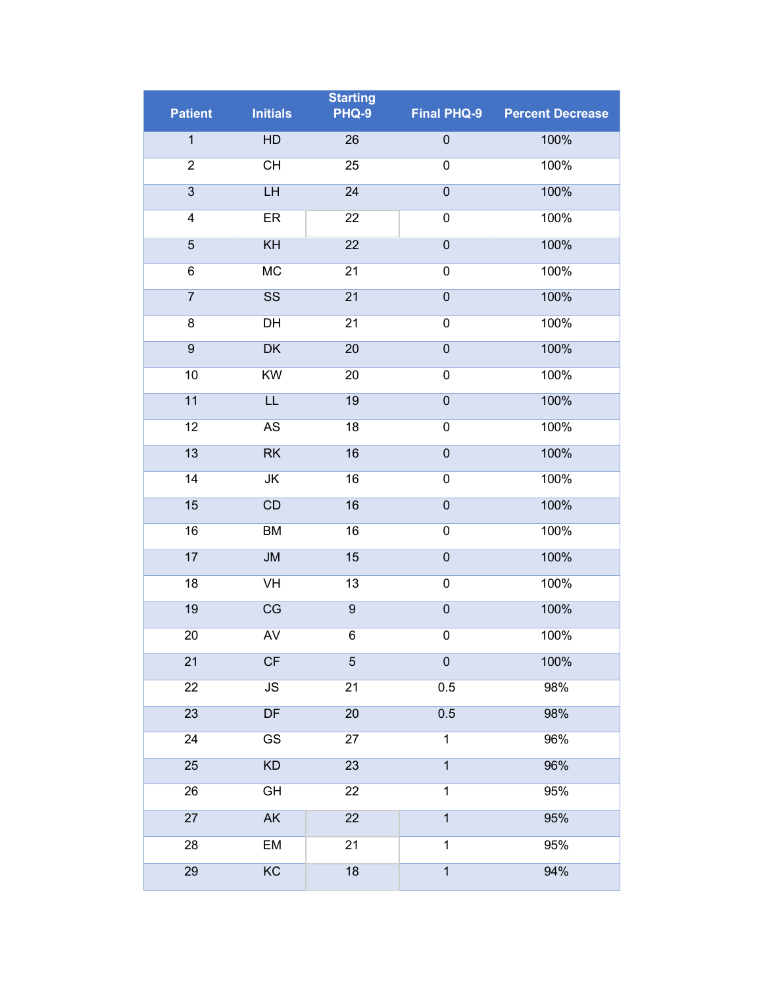| PHQ-9<br><b>Patient</b><br><b>Initials</b><br><b>Final PHQ-9</b><br><b>Percent Decrease</b><br>$\overline{1}$<br>HD<br>$\overline{0}$<br>26<br>100%<br>$\overline{2}$<br>CH<br>$\overline{0}$<br>100%<br>25<br>$\overline{3}$<br>$\overline{0}$<br>LH<br>24<br>100%<br>$\boldsymbol{0}$<br>100%<br>4<br>ER<br>22<br>$\overline{5}$<br>KH<br>22<br>$\boldsymbol{0}$<br>100%<br><b>MC</b><br>6<br>21<br>$\boldsymbol{0}$<br>100%<br>$\overline{7}$<br>$\overline{\text{SS}}$<br>$\overline{21}$<br>$\overline{0}$<br>100%<br>8<br>DH<br>21<br>$\pmb{0}$<br>100%<br>$\overline{9}$<br>$\overline{0}$<br>DK<br>20<br>100%<br>10<br>KW<br>$\pmb{0}$<br>20<br>100%<br>11<br>$\overline{0}$<br>LL<br>19<br>100%<br>12<br>AS<br>18<br>$\pmb{0}$<br>100%<br>13<br>RK<br>16<br>$\mathbf 0$<br>100%<br>14<br>$\overline{\mathsf{JK}}$<br>16<br>$\pmb{0}$<br>100%<br>15<br>CD<br>$\overline{0}$<br>100%<br>16<br>16<br><b>BM</b><br>16<br>$\pmb{0}$<br>100%<br>17<br>$\overline{0}$<br><b>JM</b><br>15<br>100%<br>18<br>VH<br>$\pmb{0}$<br>100%<br>13<br>19<br>CG<br>$\overline{9}$<br>$\overline{0}$<br>100%<br><b>AV</b><br>20<br>6<br>$\boldsymbol{0}$<br>100%<br>CF<br>$\pmb{0}$<br>21<br>$\overline{5}$<br>100%<br>JS<br>22<br>0.5<br>98%<br>21 |
|------------------------------------------------------------------------------------------------------------------------------------------------------------------------------------------------------------------------------------------------------------------------------------------------------------------------------------------------------------------------------------------------------------------------------------------------------------------------------------------------------------------------------------------------------------------------------------------------------------------------------------------------------------------------------------------------------------------------------------------------------------------------------------------------------------------------------------------------------------------------------------------------------------------------------------------------------------------------------------------------------------------------------------------------------------------------------------------------------------------------------------------------------------------------------------------------------------------------------------------|
|                                                                                                                                                                                                                                                                                                                                                                                                                                                                                                                                                                                                                                                                                                                                                                                                                                                                                                                                                                                                                                                                                                                                                                                                                                          |
|                                                                                                                                                                                                                                                                                                                                                                                                                                                                                                                                                                                                                                                                                                                                                                                                                                                                                                                                                                                                                                                                                                                                                                                                                                          |
|                                                                                                                                                                                                                                                                                                                                                                                                                                                                                                                                                                                                                                                                                                                                                                                                                                                                                                                                                                                                                                                                                                                                                                                                                                          |
|                                                                                                                                                                                                                                                                                                                                                                                                                                                                                                                                                                                                                                                                                                                                                                                                                                                                                                                                                                                                                                                                                                                                                                                                                                          |
|                                                                                                                                                                                                                                                                                                                                                                                                                                                                                                                                                                                                                                                                                                                                                                                                                                                                                                                                                                                                                                                                                                                                                                                                                                          |
|                                                                                                                                                                                                                                                                                                                                                                                                                                                                                                                                                                                                                                                                                                                                                                                                                                                                                                                                                                                                                                                                                                                                                                                                                                          |
|                                                                                                                                                                                                                                                                                                                                                                                                                                                                                                                                                                                                                                                                                                                                                                                                                                                                                                                                                                                                                                                                                                                                                                                                                                          |
|                                                                                                                                                                                                                                                                                                                                                                                                                                                                                                                                                                                                                                                                                                                                                                                                                                                                                                                                                                                                                                                                                                                                                                                                                                          |
|                                                                                                                                                                                                                                                                                                                                                                                                                                                                                                                                                                                                                                                                                                                                                                                                                                                                                                                                                                                                                                                                                                                                                                                                                                          |
|                                                                                                                                                                                                                                                                                                                                                                                                                                                                                                                                                                                                                                                                                                                                                                                                                                                                                                                                                                                                                                                                                                                                                                                                                                          |
|                                                                                                                                                                                                                                                                                                                                                                                                                                                                                                                                                                                                                                                                                                                                                                                                                                                                                                                                                                                                                                                                                                                                                                                                                                          |
|                                                                                                                                                                                                                                                                                                                                                                                                                                                                                                                                                                                                                                                                                                                                                                                                                                                                                                                                                                                                                                                                                                                                                                                                                                          |
|                                                                                                                                                                                                                                                                                                                                                                                                                                                                                                                                                                                                                                                                                                                                                                                                                                                                                                                                                                                                                                                                                                                                                                                                                                          |
|                                                                                                                                                                                                                                                                                                                                                                                                                                                                                                                                                                                                                                                                                                                                                                                                                                                                                                                                                                                                                                                                                                                                                                                                                                          |
|                                                                                                                                                                                                                                                                                                                                                                                                                                                                                                                                                                                                                                                                                                                                                                                                                                                                                                                                                                                                                                                                                                                                                                                                                                          |
|                                                                                                                                                                                                                                                                                                                                                                                                                                                                                                                                                                                                                                                                                                                                                                                                                                                                                                                                                                                                                                                                                                                                                                                                                                          |
|                                                                                                                                                                                                                                                                                                                                                                                                                                                                                                                                                                                                                                                                                                                                                                                                                                                                                                                                                                                                                                                                                                                                                                                                                                          |
|                                                                                                                                                                                                                                                                                                                                                                                                                                                                                                                                                                                                                                                                                                                                                                                                                                                                                                                                                                                                                                                                                                                                                                                                                                          |
|                                                                                                                                                                                                                                                                                                                                                                                                                                                                                                                                                                                                                                                                                                                                                                                                                                                                                                                                                                                                                                                                                                                                                                                                                                          |
|                                                                                                                                                                                                                                                                                                                                                                                                                                                                                                                                                                                                                                                                                                                                                                                                                                                                                                                                                                                                                                                                                                                                                                                                                                          |
|                                                                                                                                                                                                                                                                                                                                                                                                                                                                                                                                                                                                                                                                                                                                                                                                                                                                                                                                                                                                                                                                                                                                                                                                                                          |
|                                                                                                                                                                                                                                                                                                                                                                                                                                                                                                                                                                                                                                                                                                                                                                                                                                                                                                                                                                                                                                                                                                                                                                                                                                          |
|                                                                                                                                                                                                                                                                                                                                                                                                                                                                                                                                                                                                                                                                                                                                                                                                                                                                                                                                                                                                                                                                                                                                                                                                                                          |
| 23<br>DF<br>0.5<br>20<br>98%                                                                                                                                                                                                                                                                                                                                                                                                                                                                                                                                                                                                                                                                                                                                                                                                                                                                                                                                                                                                                                                                                                                                                                                                             |
| $\overline{\text{GS}}$<br>$\overline{1}$<br>24<br>96%<br>27                                                                                                                                                                                                                                                                                                                                                                                                                                                                                                                                                                                                                                                                                                                                                                                                                                                                                                                                                                                                                                                                                                                                                                              |
| 25<br>KD<br>23<br>$\overline{1}$<br>96%                                                                                                                                                                                                                                                                                                                                                                                                                                                                                                                                                                                                                                                                                                                                                                                                                                                                                                                                                                                                                                                                                                                                                                                                  |
| $\overline{1}$<br>26<br>GH<br>22<br>95%                                                                                                                                                                                                                                                                                                                                                                                                                                                                                                                                                                                                                                                                                                                                                                                                                                                                                                                                                                                                                                                                                                                                                                                                  |
| ${\sf AK}$<br>27<br>22<br>$\mathbf{1}$<br>95%                                                                                                                                                                                                                                                                                                                                                                                                                                                                                                                                                                                                                                                                                                                                                                                                                                                                                                                                                                                                                                                                                                                                                                                            |
| <b>EM</b><br>$\mathbf 1$<br>28<br>21<br>95%                                                                                                                                                                                                                                                                                                                                                                                                                                                                                                                                                                                                                                                                                                                                                                                                                                                                                                                                                                                                                                                                                                                                                                                              |
| KC<br>29<br>18<br>$\overline{1}$<br>94%                                                                                                                                                                                                                                                                                                                                                                                                                                                                                                                                                                                                                                                                                                                                                                                                                                                                                                                                                                                                                                                                                                                                                                                                  |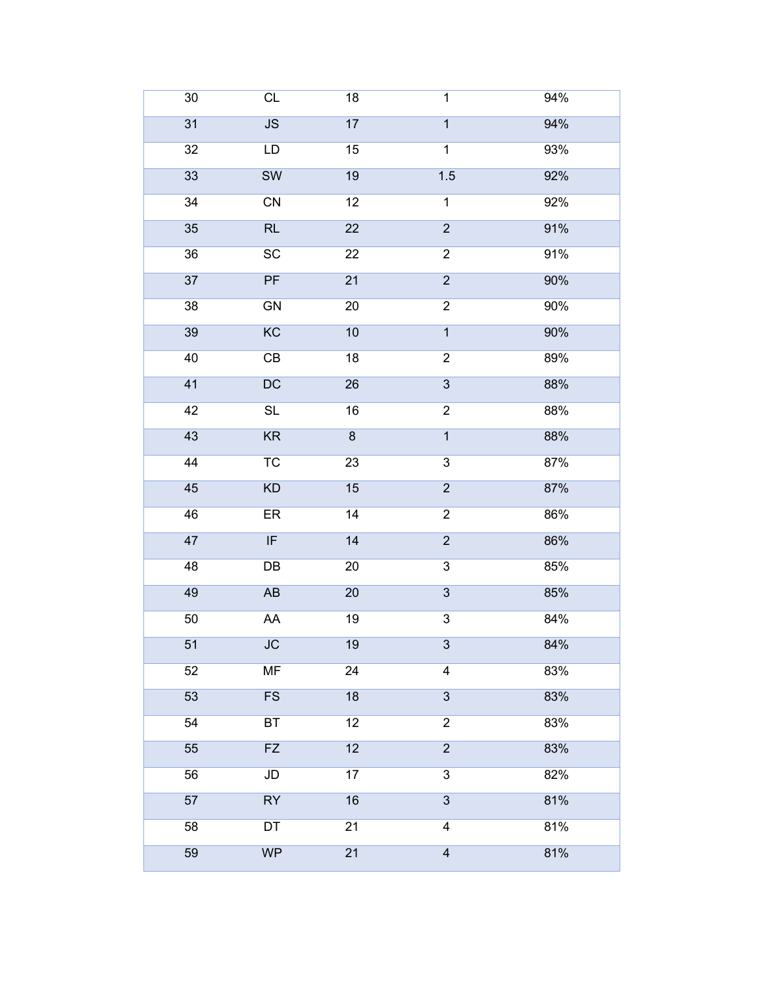| $30\,$ | CL                                | 18                      | $\overline{1}$          | 94% |
|--------|-----------------------------------|-------------------------|-------------------------|-----|
| 31     | JS                                | 17                      | $\overline{1}$          | 94% |
| 32     | LD                                | 15                      | $\overline{1}$          | 93% |
| 33     | <b>SW</b>                         | 19                      | 1.5                     | 92% |
| 34     | ${\sf CN}$                        | 12                      | $\mathbf 1$             | 92% |
| 35     | RL                                | 22                      | $\overline{2}$          | 91% |
| 36     | SC                                | 22                      | $\overline{2}$          | 91% |
| 37     | PF                                | 21                      | $\overline{2}$          | 90% |
| 38     | GN                                | $20\,$                  | $\overline{2}$          | 90% |
| 39     | $\overline{KC}$                   | 10                      | $\overline{1}$          | 90% |
| 40     | $\mathsf{CB}$                     | 18                      | $\overline{c}$          | 89% |
| 41     | DC                                | 26                      | $\overline{3}$          | 88% |
| 42     | SL                                | 16                      | $\overline{c}$          | 88% |
| 43     | KR                                | $\overline{\textbf{8}}$ | $\overline{1}$          | 88% |
| 44     | $\overline{\text{TC}}$            | 23                      | $\overline{3}$          | 87% |
| 45     | KD                                | 15                      | $\overline{2}$          | 87% |
| 46     | ER                                | 14                      | $\overline{c}$          | 86% |
| 47     | $\ensuremath{\mathsf{IF}}\xspace$ | 14                      | $\overline{2}$          | 86% |
| 48     | DB                                | $20\,$                  | $\overline{3}$          | 85% |
| 49     | $\mathsf{A}\mathsf{B}$            | $20\,$                  | $\overline{3}$          | 85% |
| 50     | ${\sf AA}$                        | 19                      | $\overline{3}$          | 84% |
| 51     | ${\sf JC}$                        | 19                      | 3                       | 84% |
| 52     | MF                                | 24                      | $\overline{\mathbf{4}}$ | 83% |
| 53     | <b>FS</b>                         | 18                      | $\overline{3}$          | 83% |
| 54     | BT                                | 12                      | $\overline{2}$          | 83% |
| 55     | <b>FZ</b>                         | 12                      | $\overline{2}$          | 83% |
| 56     | ${\sf JD}$                        | 17                      | $\overline{3}$          | 82% |
| 57     | RY                                | 16                      | $\overline{3}$          | 81% |
| 58     | DT                                | 21                      | $\overline{4}$          | 81% |
| 59     | <b>WP</b>                         | 21                      | $\overline{\mathbf{4}}$ | 81% |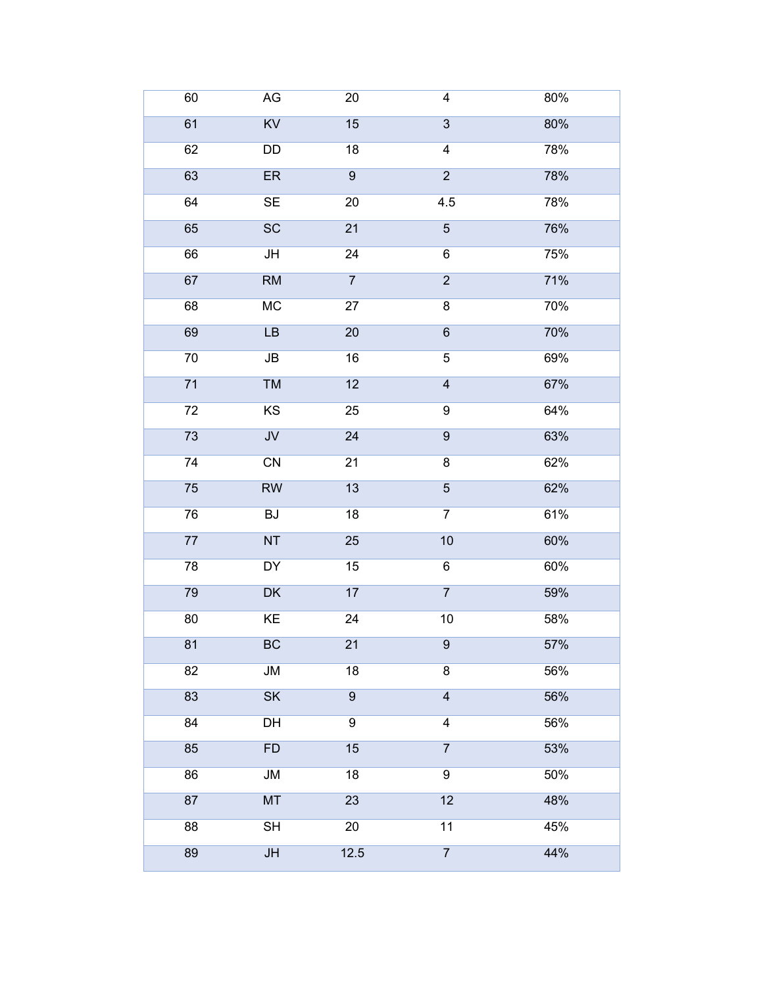| 60 | $\mathsf{AG}$                | $20\,$          | $\overline{\mathbf{4}}$ | 80% |
|----|------------------------------|-----------------|-------------------------|-----|
| 61 | $\overline{KV}$              | 15              | $\overline{3}$          | 80% |
| 62 | DD                           | 18              | $\overline{\mathbf{4}}$ | 78% |
| 63 | ER                           | $\overline{9}$  | $\overline{2}$          | 78% |
| 64 | <b>SE</b>                    | $20\,$          | 4.5                     | 78% |
| 65 | SC                           | 21              | $\overline{5}$          | 76% |
| 66 | JH                           | $\overline{24}$ | $\overline{6}$          | 75% |
| 67 | RM                           | $\overline{7}$  | $\overline{2}$          | 71% |
| 68 | MC                           | 27              | 8                       | 70% |
| 69 | LB                           | $\overline{20}$ | $\overline{6}$          | 70% |
| 70 | $\mathsf{JB}$                | 16              | $\overline{5}$          | 69% |
| 71 | TM                           | 12              | $\overline{4}$          | 67% |
| 72 | KS                           | 25              | $\boldsymbol{9}$        | 64% |
| 73 | $\overline{\mathsf{JV}}$     | 24              | $\overline{9}$          | 63% |
| 74 | $\overline{CN}$              | $\overline{21}$ | $\overline{8}$          | 62% |
| 75 | RW                           | 13              | $\overline{5}$          | 62% |
| 76 | $\operatorname{\mathsf{BJ}}$ | 18              | $\overline{7}$          | 61% |
| 77 | NT                           | 25              | 10                      | 60% |
| 78 | <b>DY</b>                    | 15              | $\overline{6}$          | 60% |
| 79 | <b>DK</b>                    | 17              | $\overline{7}$          | 59% |
| 80 | KE                           | $\overline{24}$ | $10$                    | 58% |
| 81 | BC                           | 21              | $\boldsymbol{9}$        | 57% |
| 82 | JM                           | 18              | $\overline{8}$          | 56% |
| 83 | <b>SK</b>                    | $9$             | $\overline{4}$          | 56% |
| 84 | DH                           | $\overline{9}$  | $\overline{4}$          | 56% |
| 85 | FD                           | 15              | $\overline{7}$          | 53% |
| 86 | JM                           | 18              | $\overline{9}$          | 50% |
| 87 | MT                           | 23              | 12                      | 48% |
| 88 | $\overline{\mathsf{SH}}$     | $20\,$          | $\overline{11}$         | 45% |
| 89 | $\mathsf{J}\mathsf{H}$       | 12.5            | $\overline{7}$          | 44% |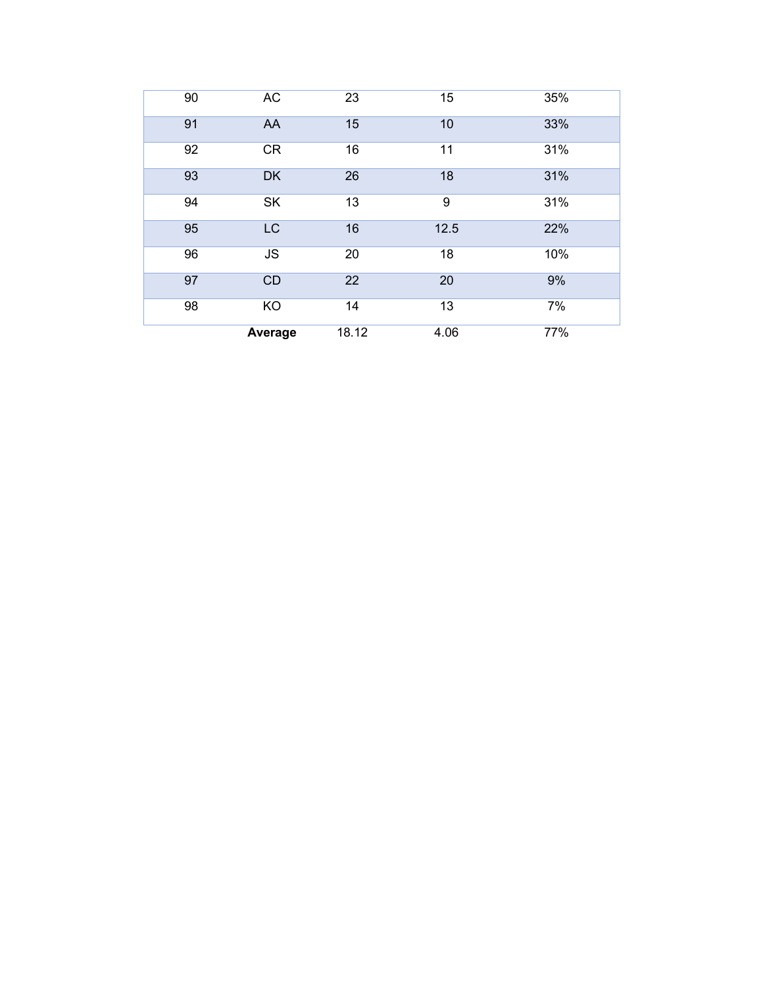| 90 | <b>AC</b> | 23    | 15   | 35% |
|----|-----------|-------|------|-----|
| 91 | AA        | 15    | 10   | 33% |
| 92 | <b>CR</b> | 16    | 11   | 31% |
| 93 | <b>DK</b> | 26    | 18   | 31% |
| 94 | SK        | 13    | 9    | 31% |
| 95 | <b>LC</b> | 16    | 12.5 | 22% |
| 96 | <b>JS</b> | 20    | 18   | 10% |
| 97 | CD        | 22    | 20   | 9%  |
| 98 | KO        | 14    | 13   | 7%  |
|    | Average   | 18.12 | 4.06 | 77% |